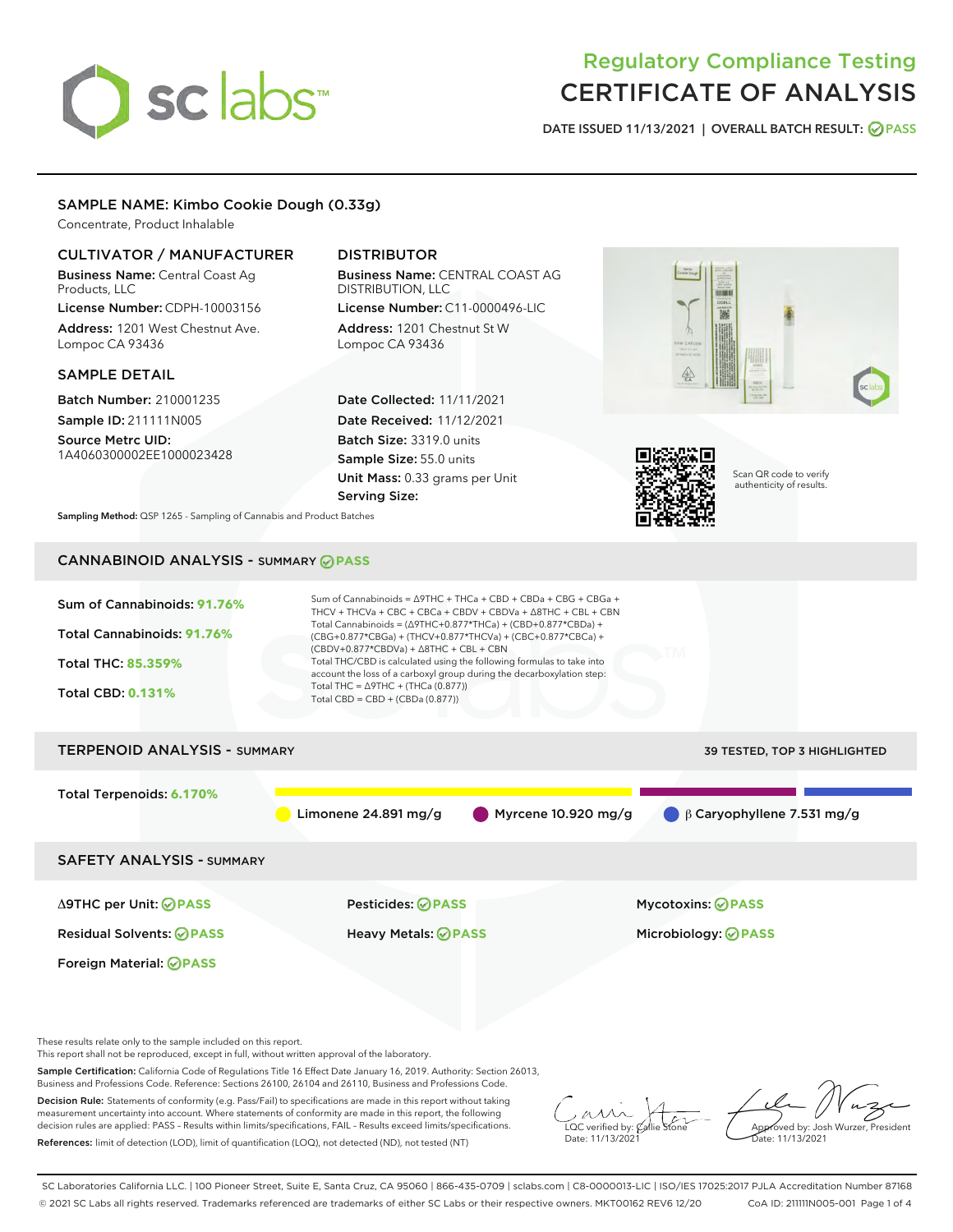# sclabs<sup>\*</sup>

# Regulatory Compliance Testing CERTIFICATE OF ANALYSIS

DATE ISSUED 11/13/2021 | OVERALL BATCH RESULT: @ PASS

#### SAMPLE NAME: Kimbo Cookie Dough (0.33g)

Concentrate, Product Inhalable

#### CULTIVATOR / MANUFACTURER

Business Name: Central Coast Ag Products, LLC

License Number: CDPH-10003156 Address: 1201 West Chestnut Ave. Lompoc CA 93436

#### SAMPLE DETAIL

Batch Number: 210001235 Sample ID: 211111N005

Source Metrc UID: 1A4060300002EE1000023428

### DISTRIBUTOR

Business Name: CENTRAL COAST AG DISTRIBUTION, LLC

License Number: C11-0000496-LIC Address: 1201 Chestnut St W Lompoc CA 93436

Date Collected: 11/11/2021 Date Received: 11/12/2021 Batch Size: 3319.0 units Sample Size: 55.0 units Unit Mass: 0.33 grams per Unit Serving Size:





Scan QR code to verify authenticity of results.

Sampling Method: QSP 1265 - Sampling of Cannabis and Product Batches

## CANNABINOID ANALYSIS - SUMMARY **PASS**

| Sum of Cannabinoids: 91.76%<br>Total Cannabinoids: 91.76%<br>Total THC: 85.359%<br><b>Total CBD: 0.131%</b> | Sum of Cannabinoids = $\triangle$ 9THC + THCa + CBD + CBDa + CBG + CBGa +<br>THCV + THCVa + CBC + CBCa + CBDV + CBDVa + $\Delta$ 8THC + CBL + CBN<br>Total Cannabinoids = $(\Delta$ 9THC+0.877*THCa) + (CBD+0.877*CBDa) +<br>(CBG+0.877*CBGa) + (THCV+0.877*THCVa) + (CBC+0.877*CBCa) +<br>$(CBDV+0.877*CBDVa) + \Delta 8THC + CBL + CBN$<br>Total THC/CBD is calculated using the following formulas to take into<br>account the loss of a carboxyl group during the decarboxylation step:<br>Total THC = $\triangle$ 9THC + (THCa (0.877))<br>Total CBD = $CBD + (CBDa (0.877))$ |                                  |  |  |  |
|-------------------------------------------------------------------------------------------------------------|------------------------------------------------------------------------------------------------------------------------------------------------------------------------------------------------------------------------------------------------------------------------------------------------------------------------------------------------------------------------------------------------------------------------------------------------------------------------------------------------------------------------------------------------------------------------------------|----------------------------------|--|--|--|
| <b>TERPENOID ANALYSIS - SUMMARY</b>                                                                         |                                                                                                                                                                                                                                                                                                                                                                                                                                                                                                                                                                                    | 39 TESTED, TOP 3 HIGHLIGHTED     |  |  |  |
| Total Terpenoids: 6.170%                                                                                    | Limonene 24.891 $mg/g$<br>Myrcene $10.920$ mg/g                                                                                                                                                                                                                                                                                                                                                                                                                                                                                                                                    | $\beta$ Caryophyllene 7.531 mg/g |  |  |  |
| <b>SAFETY ANALYSIS - SUMMARY</b>                                                                            |                                                                                                                                                                                                                                                                                                                                                                                                                                                                                                                                                                                    |                                  |  |  |  |
| ∆9THC per Unit: ⊘PASS                                                                                       | Pesticides: ⊘PASS                                                                                                                                                                                                                                                                                                                                                                                                                                                                                                                                                                  | <b>Mycotoxins: ⊘PASS</b>         |  |  |  |
| <b>Residual Solvents: ⊘PASS</b>                                                                             | Heavy Metals: ⊘PASS                                                                                                                                                                                                                                                                                                                                                                                                                                                                                                                                                                | Microbiology: <b>OPASS</b>       |  |  |  |
| Foreign Material: <b>⊘PASS</b>                                                                              |                                                                                                                                                                                                                                                                                                                                                                                                                                                                                                                                                                                    |                                  |  |  |  |

These results relate only to the sample included on this report.

This report shall not be reproduced, except in full, without written approval of the laboratory.

Sample Certification: California Code of Regulations Title 16 Effect Date January 16, 2019. Authority: Section 26013, Business and Professions Code. Reference: Sections 26100, 26104 and 26110, Business and Professions Code.

Decision Rule: Statements of conformity (e.g. Pass/Fail) to specifications are made in this report without taking measurement uncertainty into account. Where statements of conformity are made in this report, the following decision rules are applied: PASS – Results within limits/specifications, FAIL – Results exceed limits/specifications. References: limit of detection (LOD), limit of quantification (LOQ), not detected (ND), not tested (NT)

 $\sim$  CC verified by:  $\mathcal{C}$ Date: 11/13/2021

Approved by: Josh Wurzer, President Date: 11/13/2021

SC Laboratories California LLC. | 100 Pioneer Street, Suite E, Santa Cruz, CA 95060 | 866-435-0709 | sclabs.com | C8-0000013-LIC | ISO/IES 17025:2017 PJLA Accreditation Number 87168 © 2021 SC Labs all rights reserved. Trademarks referenced are trademarks of either SC Labs or their respective owners. MKT00162 REV6 12/20 CoA ID: 211111N005-001 Page 1 of 4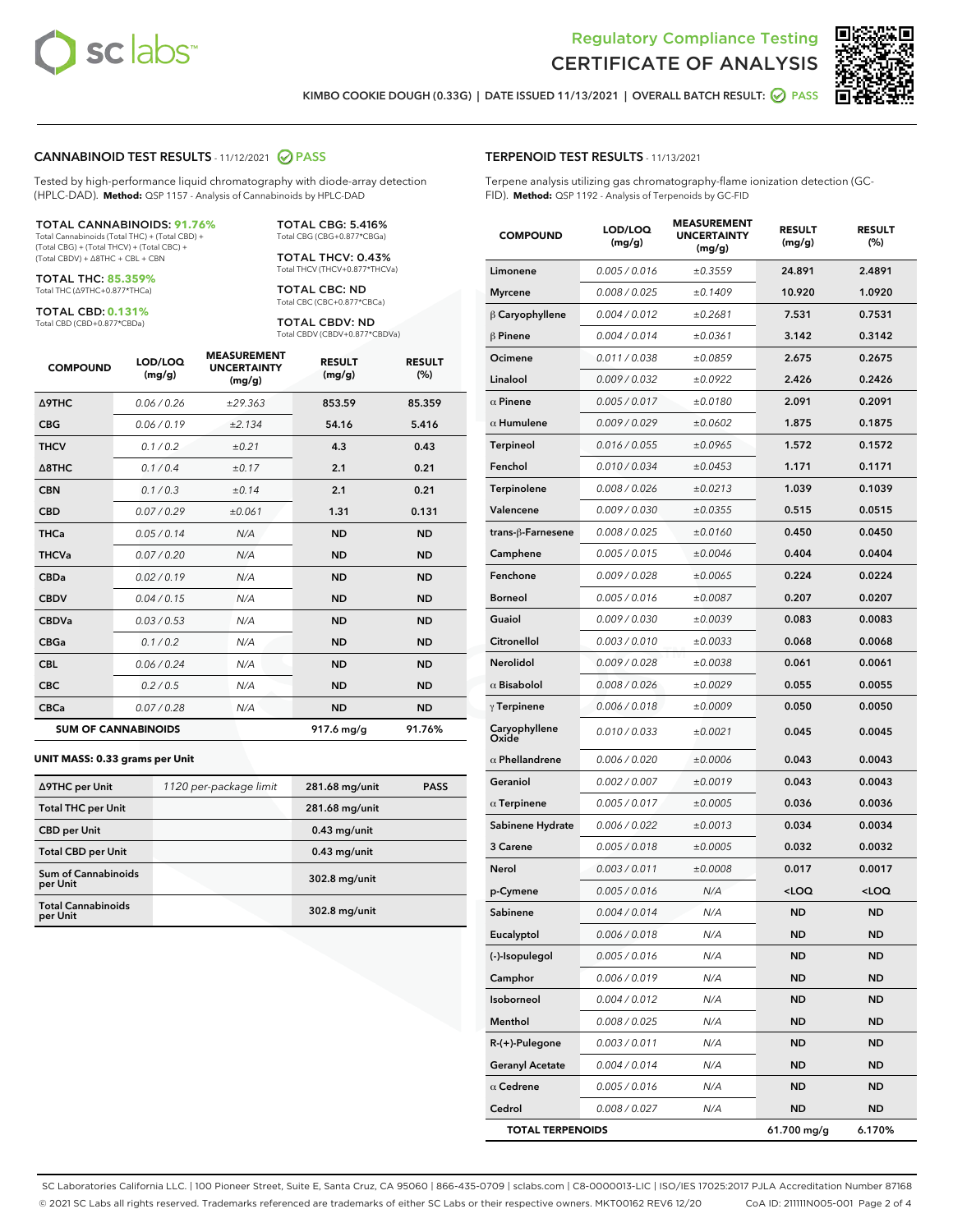



KIMBO COOKIE DOUGH (0.33G) | DATE ISSUED 11/13/2021 | OVERALL BATCH RESULT: ● PASS

#### CANNABINOID TEST RESULTS - 11/12/2021 @ PASS

Tested by high-performance liquid chromatography with diode-array detection (HPLC-DAD). **Method:** QSP 1157 - Analysis of Cannabinoids by HPLC-DAD

#### TOTAL CANNABINOIDS: **91.76%**

Total Cannabinoids (Total THC) + (Total CBD) + (Total CBG) + (Total THCV) + (Total CBC) + (Total CBDV) + ∆8THC + CBL + CBN

TOTAL THC: **85.359%** Total THC (∆9THC+0.877\*THCa)

TOTAL CBD: **0.131%** Total CBD (CBD+0.877\*CBDa)

TOTAL CBG: 5.416% Total CBG (CBG+0.877\*CBGa) TOTAL THCV: 0.43%

Total THCV (THCV+0.877\*THCVa)

TOTAL CBC: ND Total CBC (CBC+0.877\*CBCa)

TOTAL CBDV: ND Total CBDV (CBDV+0.877\*CBDVa)

| <b>COMPOUND</b>            | LOD/LOQ<br>(mg/g) | <b>MEASUREMENT</b><br><b>UNCERTAINTY</b><br>(mg/g) | <b>RESULT</b><br>(mg/g) | <b>RESULT</b><br>(%) |
|----------------------------|-------------------|----------------------------------------------------|-------------------------|----------------------|
| Δ9THC                      | 0.06 / 0.26       | ±29.363                                            | 853.59                  | 85.359               |
| <b>CBG</b>                 | 0.06/0.19         | ±2.134                                             | 54.16                   | 5.416                |
| <b>THCV</b>                | 0.1 / 0.2         | ±0.21                                              | 4.3                     | 0.43                 |
| $\triangle$ 8THC           | 0.1/0.4           | ±0.17                                              | 2.1                     | 0.21                 |
| <b>CBN</b>                 | 0.1/0.3           | ±0.14                                              | 2.1                     | 0.21                 |
| <b>CBD</b>                 | 0.07/0.29         | ±0.061                                             | 1.31                    | 0.131                |
| <b>THCa</b>                | 0.05/0.14         | N/A                                                | <b>ND</b>               | <b>ND</b>            |
| <b>THCVa</b>               | 0.07/0.20         | N/A                                                | <b>ND</b>               | <b>ND</b>            |
| <b>CBDa</b>                | 0.02/0.19         | N/A                                                | <b>ND</b>               | <b>ND</b>            |
| <b>CBDV</b>                | 0.04 / 0.15       | N/A                                                | <b>ND</b>               | <b>ND</b>            |
| <b>CBDVa</b>               | 0.03/0.53         | N/A                                                | <b>ND</b>               | <b>ND</b>            |
| <b>CBGa</b>                | 0.1 / 0.2         | N/A                                                | <b>ND</b>               | <b>ND</b>            |
| <b>CBL</b>                 | 0.06 / 0.24       | N/A                                                | <b>ND</b>               | <b>ND</b>            |
| <b>CBC</b>                 | 0.2 / 0.5         | N/A                                                | <b>ND</b>               | <b>ND</b>            |
| <b>CBCa</b>                | 0.07/0.28         | N/A                                                | <b>ND</b>               | <b>ND</b>            |
| <b>SUM OF CANNABINOIDS</b> |                   |                                                    | 917.6 mg/g              | 91.76%               |

#### **UNIT MASS: 0.33 grams per Unit**

| ∆9THC per Unit                         | 1120 per-package limit | 281.68 mg/unit | <b>PASS</b> |
|----------------------------------------|------------------------|----------------|-------------|
| <b>Total THC per Unit</b>              |                        | 281.68 mg/unit |             |
| <b>CBD per Unit</b>                    |                        | $0.43$ mg/unit |             |
| <b>Total CBD per Unit</b>              |                        | $0.43$ mg/unit |             |
| <b>Sum of Cannabinoids</b><br>per Unit |                        | 302.8 mg/unit  |             |
| <b>Total Cannabinoids</b><br>per Unit  |                        | 302.8 mg/unit  |             |

#### TERPENOID TEST RESULTS - 11/13/2021

Terpene analysis utilizing gas chromatography-flame ionization detection (GC-FID). **Method:** QSP 1192 - Analysis of Terpenoids by GC-FID

| <b>COMPOUND</b>         | LOD/LOQ<br>(mg/g) | <b>MEASUREMENT</b><br><b>UNCERTAINTY</b><br>(mg/g) | <b>RESULT</b><br>(mg/g)                         | <b>RESULT</b><br>(%) |
|-------------------------|-------------------|----------------------------------------------------|-------------------------------------------------|----------------------|
| Limonene                | 0.005 / 0.016     | ±0.3559                                            | 24.891                                          | 2.4891               |
| <b>Myrcene</b>          | 0.008 / 0.025     | ±0.1409                                            | 10.920                                          | 1.0920               |
| $\beta$ Caryophyllene   | 0.004 / 0.012     | ±0.2681                                            | 7.531                                           | 0.7531               |
| $\beta$ Pinene          | 0.004 / 0.014     | ±0.0361                                            | 3.142                                           | 0.3142               |
| Ocimene                 | 0.011 / 0.038     | ±0.0859                                            | 2.675                                           | 0.2675               |
| Linalool                | 0.009 / 0.032     | ±0.0922                                            | 2.426                                           | 0.2426               |
| $\alpha$ Pinene         | 0.005 / 0.017     | ±0.0180                                            | 2.091                                           | 0.2091               |
| $\alpha$ Humulene       | 0.009 / 0.029     | ±0.0602                                            | 1.875                                           | 0.1875               |
| <b>Terpineol</b>        | 0.016 / 0.055     | ±0.0965                                            | 1.572                                           | 0.1572               |
| Fenchol                 | 0.010 / 0.034     | ±0.0453                                            | 1.171                                           | 0.1171               |
| <b>Terpinolene</b>      | 0.008 / 0.026     | ±0.0213                                            | 1.039                                           | 0.1039               |
| Valencene               | 0.009 / 0.030     | ±0.0355                                            | 0.515                                           | 0.0515               |
| trans-ß-Farnesene       | 0.008 / 0.025     | ±0.0160                                            | 0.450                                           | 0.0450               |
| Camphene                | 0.005 / 0.015     | ±0.0046                                            | 0.404                                           | 0.0404               |
| Fenchone                | 0.009 / 0.028     | ±0.0065                                            | 0.224                                           | 0.0224               |
| Borneol                 | 0.005 / 0.016     | ±0.0087                                            | 0.207                                           | 0.0207               |
| Guaiol                  | 0.009 / 0.030     | ±0.0039                                            | 0.083                                           | 0.0083               |
| Citronellol             | 0.003 / 0.010     | ±0.0033                                            | 0.068                                           | 0.0068               |
| Nerolidol               | 0.009 / 0.028     | ±0.0038                                            | 0.061                                           | 0.0061               |
| $\alpha$ Bisabolol      | 0.008 / 0.026     | ±0.0029                                            | 0.055                                           | 0.0055               |
| $\gamma$ Terpinene      | 0.006 / 0.018     | ±0.0009                                            | 0.050                                           | 0.0050               |
| Caryophyllene<br>Oxide  | 0.010 / 0.033     | ±0.0021                                            | 0.045                                           | 0.0045               |
| $\alpha$ Phellandrene   | 0.006 / 0.020     | ±0.0006                                            | 0.043                                           | 0.0043               |
| Geraniol                | 0.002 / 0.007     | ±0.0019                                            | 0.043                                           | 0.0043               |
| $\alpha$ Terpinene      | 0.005 / 0.017     | ±0.0005                                            | 0.036                                           | 0.0036               |
| Sabinene Hydrate        | 0.006 / 0.022     | ±0.0013                                            | 0.034                                           | 0.0034               |
| 3 Carene                | 0.005 / 0.018     | ±0.0005                                            | 0.032                                           | 0.0032               |
| Nerol                   | 0.003 / 0.011     | ±0.0008                                            | 0.017                                           | 0.0017               |
| p-Cymene                | 0.005 / 0.016     | N/A                                                | <loq< th=""><th><loq< th=""></loq<></th></loq<> | <loq< th=""></loq<>  |
| Sabinene                | 0.004 / 0.014     | N/A                                                | <b>ND</b>                                       | ND.                  |
| Eucalyptol              | 0.006 / 0.018     | N/A                                                | ND                                              | ND                   |
| (-)-Isopulegol          | 0.005 / 0.016     | N/A                                                | ND                                              | ND                   |
| Camphor                 | 0.006 / 0.019     | N/A                                                | ND                                              | ND                   |
| Isoborneol              | 0.004 / 0.012     | N/A                                                | ND                                              | ND                   |
| Menthol                 | 0.008 / 0.025     | N/A                                                | ND                                              | ND                   |
| R-(+)-Pulegone          | 0.003 / 0.011     | N/A                                                | <b>ND</b>                                       | ND                   |
| <b>Geranyl Acetate</b>  | 0.004 / 0.014     | N/A                                                | ND                                              | ND                   |
| $\alpha$ Cedrene        | 0.005 / 0.016     | N/A                                                | ND                                              | ND                   |
| Cedrol                  | 0.008 / 0.027     | N/A                                                | ND                                              | ND                   |
| <b>TOTAL TERPENOIDS</b> |                   |                                                    | 61.700 mg/g                                     | 6.170%               |

SC Laboratories California LLC. | 100 Pioneer Street, Suite E, Santa Cruz, CA 95060 | 866-435-0709 | sclabs.com | C8-0000013-LIC | ISO/IES 17025:2017 PJLA Accreditation Number 87168 © 2021 SC Labs all rights reserved. Trademarks referenced are trademarks of either SC Labs or their respective owners. MKT00162 REV6 12/20 CoA ID: 211111N005-001 Page 2 of 4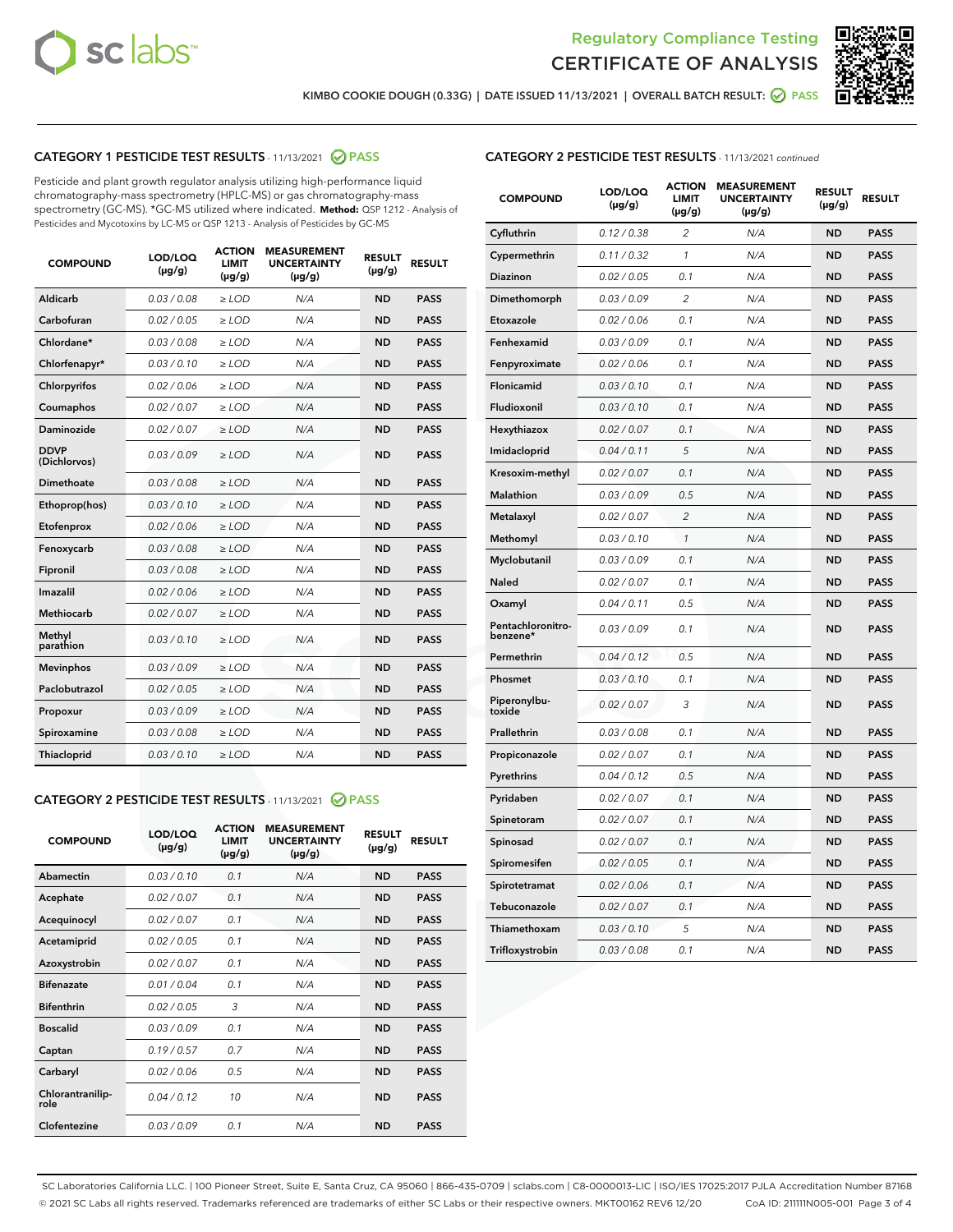



KIMBO COOKIE DOUGH (0.33G) | DATE ISSUED 11/13/2021 | OVERALL BATCH RESULT: <mark>⊘</mark> PASS

#### CATEGORY 1 PESTICIDE TEST RESULTS - 11/13/2021 2 PASS

Pesticide and plant growth regulator analysis utilizing high-performance liquid chromatography-mass spectrometry (HPLC-MS) or gas chromatography-mass spectrometry (GC-MS). \*GC-MS utilized where indicated. **Method:** QSP 1212 - Analysis of Pesticides and Mycotoxins by LC-MS or QSP 1213 - Analysis of Pesticides by GC-MS

| <b>COMPOUND</b>             | LOD/LOQ<br>$(\mu g/g)$ | <b>ACTION</b><br><b>LIMIT</b><br>$(\mu q/q)$ | <b>MEASUREMENT</b><br><b>UNCERTAINTY</b><br>$(\mu g/g)$ | <b>RESULT</b><br>$(\mu g/g)$ | <b>RESULT</b> |
|-----------------------------|------------------------|----------------------------------------------|---------------------------------------------------------|------------------------------|---------------|
| Aldicarb                    | 0.03 / 0.08            | $\ge$ LOD                                    | N/A                                                     | <b>ND</b>                    | <b>PASS</b>   |
| Carbofuran                  | 0.02 / 0.05            | $\ge$ LOD                                    | N/A                                                     | <b>ND</b>                    | <b>PASS</b>   |
| Chlordane*                  | 0.03 / 0.08            | $\ge$ LOD                                    | N/A                                                     | <b>ND</b>                    | <b>PASS</b>   |
| Chlorfenapyr*               | 0.03/0.10              | $\ge$ LOD                                    | N/A                                                     | <b>ND</b>                    | <b>PASS</b>   |
| Chlorpyrifos                | 0.02 / 0.06            | $\ge$ LOD                                    | N/A                                                     | <b>ND</b>                    | <b>PASS</b>   |
| Coumaphos                   | 0.02 / 0.07            | $\ge$ LOD                                    | N/A                                                     | <b>ND</b>                    | <b>PASS</b>   |
| Daminozide                  | 0.02 / 0.07            | $\ge$ LOD                                    | N/A                                                     | <b>ND</b>                    | <b>PASS</b>   |
| <b>DDVP</b><br>(Dichlorvos) | 0.03/0.09              | $\ge$ LOD                                    | N/A                                                     | <b>ND</b>                    | <b>PASS</b>   |
| Dimethoate                  | 0.03 / 0.08            | $\ge$ LOD                                    | N/A                                                     | <b>ND</b>                    | <b>PASS</b>   |
| Ethoprop(hos)               | 0.03/0.10              | $\ge$ LOD                                    | N/A                                                     | <b>ND</b>                    | <b>PASS</b>   |
| Etofenprox                  | 0.02/0.06              | $>$ LOD                                      | N/A                                                     | <b>ND</b>                    | <b>PASS</b>   |
| Fenoxycarb                  | 0.03 / 0.08            | $\ge$ LOD                                    | N/A                                                     | <b>ND</b>                    | <b>PASS</b>   |
| Fipronil                    | 0.03/0.08              | $>$ LOD                                      | N/A                                                     | <b>ND</b>                    | <b>PASS</b>   |
| Imazalil                    | 0.02 / 0.06            | $\ge$ LOD                                    | N/A                                                     | <b>ND</b>                    | <b>PASS</b>   |
| Methiocarb                  | 0.02 / 0.07            | $\ge$ LOD                                    | N/A                                                     | <b>ND</b>                    | <b>PASS</b>   |
| Methyl<br>parathion         | 0.03/0.10              | $>$ LOD                                      | N/A                                                     | <b>ND</b>                    | <b>PASS</b>   |
| <b>Mevinphos</b>            | 0.03/0.09              | $>$ LOD                                      | N/A                                                     | <b>ND</b>                    | <b>PASS</b>   |
| Paclobutrazol               | 0.02 / 0.05            | $>$ LOD                                      | N/A                                                     | <b>ND</b>                    | <b>PASS</b>   |
| Propoxur                    | 0.03/0.09              | $\ge$ LOD                                    | N/A                                                     | <b>ND</b>                    | <b>PASS</b>   |
| Spiroxamine                 | 0.03 / 0.08            | $\ge$ LOD                                    | N/A                                                     | <b>ND</b>                    | <b>PASS</b>   |
| Thiacloprid                 | 0.03/0.10              | $\ge$ LOD                                    | N/A                                                     | <b>ND</b>                    | <b>PASS</b>   |

#### CATEGORY 2 PESTICIDE TEST RESULTS - 11/13/2021 @ PASS

| <b>COMPOUND</b>          | LOD/LOO<br>$(\mu g/g)$ | <b>ACTION</b><br>LIMIT<br>$(\mu g/g)$ | <b>MEASUREMENT</b><br><b>UNCERTAINTY</b><br>$(\mu g/g)$ | <b>RESULT</b><br>$(\mu g/g)$ | <b>RESULT</b> |
|--------------------------|------------------------|---------------------------------------|---------------------------------------------------------|------------------------------|---------------|
| Abamectin                | 0.03/0.10              | 0.1                                   | N/A                                                     | <b>ND</b>                    | <b>PASS</b>   |
| Acephate                 | 0.02/0.07              | 0.1                                   | N/A                                                     | <b>ND</b>                    | <b>PASS</b>   |
| Acequinocyl              | 0.02/0.07              | 0.1                                   | N/A                                                     | <b>ND</b>                    | <b>PASS</b>   |
| Acetamiprid              | 0.02/0.05              | 0.1                                   | N/A                                                     | <b>ND</b>                    | <b>PASS</b>   |
| Azoxystrobin             | 0.02/0.07              | 0.1                                   | N/A                                                     | <b>ND</b>                    | <b>PASS</b>   |
| <b>Bifenazate</b>        | 0.01 / 0.04            | 0.1                                   | N/A                                                     | <b>ND</b>                    | <b>PASS</b>   |
| <b>Bifenthrin</b>        | 0.02 / 0.05            | 3                                     | N/A                                                     | <b>ND</b>                    | <b>PASS</b>   |
| <b>Boscalid</b>          | 0.03/0.09              | 0.1                                   | N/A                                                     | <b>ND</b>                    | <b>PASS</b>   |
| Captan                   | 0.19/0.57              | 0.7                                   | N/A                                                     | <b>ND</b>                    | <b>PASS</b>   |
| Carbaryl                 | 0.02/0.06              | 0.5                                   | N/A                                                     | <b>ND</b>                    | <b>PASS</b>   |
| Chlorantranilip-<br>role | 0.04/0.12              | 10                                    | N/A                                                     | <b>ND</b>                    | <b>PASS</b>   |
| Clofentezine             | 0.03/0.09              | 0.1                                   | N/A                                                     | <b>ND</b>                    | <b>PASS</b>   |

#### CATEGORY 2 PESTICIDE TEST RESULTS - 11/13/2021 continued

| <b>COMPOUND</b>               | LOD/LOQ<br>(µg/g) | <b>ACTION</b><br><b>LIMIT</b><br>$(\mu g/g)$ | <b>MEASUREMENT</b><br><b>UNCERTAINTY</b><br>$(\mu g/g)$ | <b>RESULT</b><br>(µg/g) | <b>RESULT</b> |
|-------------------------------|-------------------|----------------------------------------------|---------------------------------------------------------|-------------------------|---------------|
| Cyfluthrin                    | 0.12 / 0.38       | $\overline{c}$                               | N/A                                                     | <b>ND</b>               | <b>PASS</b>   |
| Cypermethrin                  | 0.11 / 0.32       | 1                                            | N/A                                                     | ND                      | <b>PASS</b>   |
| Diazinon                      | 0.02 / 0.05       | 0.1                                          | N/A                                                     | ND                      | <b>PASS</b>   |
| Dimethomorph                  | 0.03 / 0.09       | 2                                            | N/A                                                     | ND                      | <b>PASS</b>   |
| Etoxazole                     | 0.02 / 0.06       | 0.1                                          | N/A                                                     | <b>ND</b>               | <b>PASS</b>   |
| Fenhexamid                    | 0.03 / 0.09       | 0.1                                          | N/A                                                     | <b>ND</b>               | <b>PASS</b>   |
| Fenpyroximate                 | 0.02 / 0.06       | 0.1                                          | N/A                                                     | ND                      | <b>PASS</b>   |
| Flonicamid                    | 0.03 / 0.10       | 0.1                                          | N/A                                                     | ND                      | <b>PASS</b>   |
| Fludioxonil                   | 0.03 / 0.10       | 0.1                                          | N/A                                                     | <b>ND</b>               | <b>PASS</b>   |
| Hexythiazox                   | 0.02 / 0.07       | 0.1                                          | N/A                                                     | ND                      | <b>PASS</b>   |
| Imidacloprid                  | 0.04 / 0.11       | 5                                            | N/A                                                     | ND                      | <b>PASS</b>   |
| Kresoxim-methyl               | 0.02 / 0.07       | 0.1                                          | N/A                                                     | <b>ND</b>               | <b>PASS</b>   |
| <b>Malathion</b>              | 0.03 / 0.09       | 0.5                                          | N/A                                                     | ND                      | <b>PASS</b>   |
| Metalaxyl                     | 0.02 / 0.07       | $\overline{c}$                               | N/A                                                     | ND                      | <b>PASS</b>   |
| Methomyl                      | 0.03 / 0.10       | 1                                            | N/A                                                     | <b>ND</b>               | <b>PASS</b>   |
| Myclobutanil                  | 0.03 / 0.09       | 0.1                                          | N/A                                                     | ND                      | <b>PASS</b>   |
| Naled                         | 0.02 / 0.07       | 0.1                                          | N/A                                                     | ND                      | <b>PASS</b>   |
| Oxamyl                        | 0.04 / 0.11       | 0.5                                          | N/A                                                     | ND                      | <b>PASS</b>   |
| Pentachloronitro-<br>benzene* | 0.03 / 0.09       | 0.1                                          | N/A                                                     | ND                      | <b>PASS</b>   |
| Permethrin                    | 0.04 / 0.12       | 0.5                                          | N/A                                                     | <b>ND</b>               | <b>PASS</b>   |
| Phosmet                       | 0.03 / 0.10       | 0.1                                          | N/A                                                     | <b>ND</b>               | <b>PASS</b>   |
| Piperonylbu-<br>toxide        | 0.02 / 0.07       | 3                                            | N/A                                                     | ND                      | <b>PASS</b>   |
| Prallethrin                   | 0.03 / 0.08       | 0.1                                          | N/A                                                     | <b>ND</b>               | <b>PASS</b>   |
| Propiconazole                 | 0.02 / 0.07       | 0.1                                          | N/A                                                     | ND                      | <b>PASS</b>   |
| Pyrethrins                    | 0.04 / 0.12       | 0.5                                          | N/A                                                     | ND                      | <b>PASS</b>   |
| Pyridaben                     | 0.02 / 0.07       | 0.1                                          | N/A                                                     | ND                      | <b>PASS</b>   |
| Spinetoram                    | 0.02 / 0.07       | 0.1                                          | N/A                                                     | ND                      | <b>PASS</b>   |
| Spinosad                      | 0.02 / 0.07       | 0.1                                          | N/A                                                     | ND                      | <b>PASS</b>   |
| Spiromesifen                  | 0.02 / 0.05       | 0.1                                          | N/A                                                     | <b>ND</b>               | <b>PASS</b>   |
| Spirotetramat                 | 0.02 / 0.06       | 0.1                                          | N/A                                                     | ND                      | <b>PASS</b>   |
| Tebuconazole                  | 0.02 / 0.07       | 0.1                                          | N/A                                                     | ND                      | <b>PASS</b>   |
| Thiamethoxam                  | 0.03 / 0.10       | 5                                            | N/A                                                     | <b>ND</b>               | <b>PASS</b>   |
| Trifloxystrobin               | 0.03 / 0.08       | 0.1                                          | N/A                                                     | <b>ND</b>               | <b>PASS</b>   |

SC Laboratories California LLC. | 100 Pioneer Street, Suite E, Santa Cruz, CA 95060 | 866-435-0709 | sclabs.com | C8-0000013-LIC | ISO/IES 17025:2017 PJLA Accreditation Number 87168 © 2021 SC Labs all rights reserved. Trademarks referenced are trademarks of either SC Labs or their respective owners. MKT00162 REV6 12/20 CoA ID: 211111N005-001 Page 3 of 4